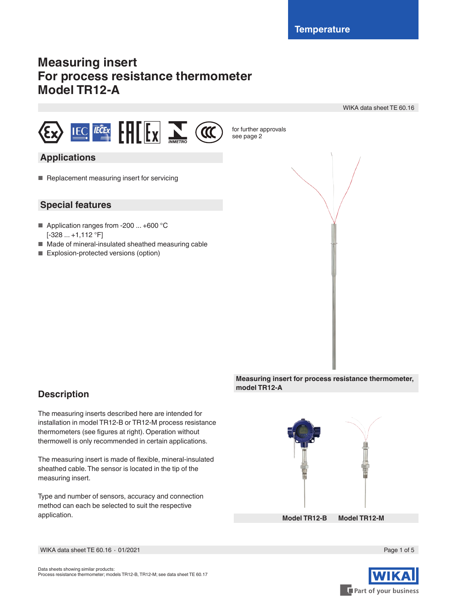see page 2

# **Measuring insert For process resistance thermometer Model TR12-A**



### **Applications**

■ Replacement measuring insert for servicing

### **Special features**

- Application ranges from -200 ... +600 °C  $[-328...+1,112$  °F]
- Made of mineral-insulated sheathed measuring cable
- Explosion-protected versions (option)



**Measuring insert for process resistance thermometer, model TR12-A**

### **Description**

The measuring inserts described here are intended for installation in model TR12-B or TR12-M process resistance thermometers (see figures at right). Operation without thermowell is only recommended in certain applications.

The measuring insert is made of flexible, mineral-insulated sheathed cable. The sensor is located in the tip of the measuring insert.

Type and number of sensors, accuracy and connection method can each be selected to suit the respective application.

**Model TR12-B Model TR12-M**



WIKA data sheet TE 60.16 ⋅ 01/2021 Page 1 of 5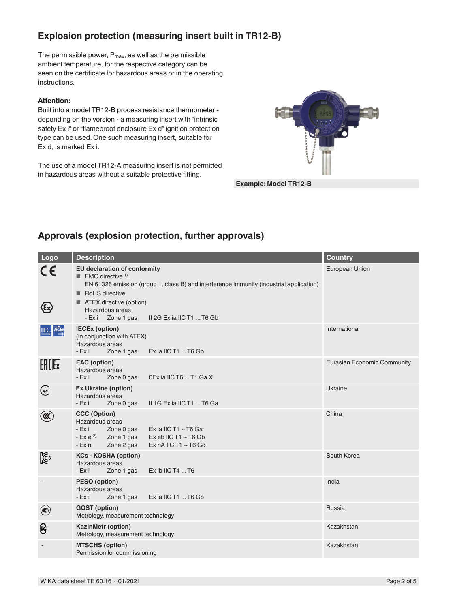### **Explosion protection (measuring insert built in TR12-B)**

The permissible power,  $P_{\text{max}}$ , as well as the permissible ambient temperature, for the respective category can be seen on the certificate for hazardous areas or in the operating instructions.

#### **Attention:**

Built into a model TR12-B process resistance thermometer depending on the version - a measuring insert with "intrinsic safety Ex i" or "flameproof enclosure Ex d" ignition protection type can be used. One such measuring insert, suitable for Ex d, is marked Ex i.

The use of a model TR12-A measuring insert is not permitted in hazardous areas without a suitable protective fitting.



**Example: Model TR12-B**

### **Approvals (explosion protection, further approvals)**

| Logo                                                               | <b>Description</b>                                                                                                                                                                                                                                                            | <b>Country</b>                     |
|--------------------------------------------------------------------|-------------------------------------------------------------------------------------------------------------------------------------------------------------------------------------------------------------------------------------------------------------------------------|------------------------------------|
| C€<br>⁄દ×્ર                                                        | <b>EU declaration of conformity</b><br><b>EMC</b> directive $1$<br>EN 61326 emission (group 1, class B) and interference immunity (industrial application)<br>RoHS directive<br>■ ATEX directive (option)<br>Hazardous areas<br>II 2G Ex ia IIC T1  T6 Gb<br>- Exi Zone 1 gas | European Union                     |
| <b>IEC FECEX</b>                                                   | <b>IECEx (option)</b><br>(in conjunction with ATEX)<br>Hazardous areas<br>Ex ia IIC T1  T6 Gb<br>$-Ex$ i<br>Zone 1 gas                                                                                                                                                        | International                      |
| $E$ $E$                                                            | <b>EAC</b> (option)<br>Hazardous areas<br>$-Ex$ i<br>0Ex ia IIC T6  T1 Ga X<br>Zone 0 gas                                                                                                                                                                                     | <b>Eurasian Economic Community</b> |
| $\bigcircled{\hspace{-0.3pt}{\rm E}\hspace{-0.3pt}}\hspace{0.3pt}$ | <b>Ex Ukraine (option)</b><br>Hazardous areas<br>Zone 0 gas<br>II 1G Ex ia IIC T1  T6 Ga<br>- Ex i                                                                                                                                                                            | Ukraine                            |
| $\infty$                                                           | <b>CCC (Option)</b><br>Hazardous areas<br>$-Ex$ i<br>Ex ia IIC T1 $\sim$ T6 Ga<br>Zone 0 gas<br>$-Ex e^{2}$ Zone 1 gas<br>Ex eb IIC T1 $\sim$ T6 Gb<br>Zone 2 gas<br>Ex nA IIC T1 $\sim$ T6 Gc<br>- Ex n                                                                      | China                              |
| $\mathbb{Z}^2$                                                     | <b>KCs - KOSHA (option)</b><br>Hazardous areas<br>- Ex i<br>Ex ib IIC T4  T6<br>Zone 1 gas                                                                                                                                                                                    | South Korea                        |
|                                                                    | PESO (option)<br>Hazardous areas<br>Ex ia IIC T1  T6 Gb<br>Zone 1 gas<br>- Exi                                                                                                                                                                                                | India                              |
| $\bigodot$                                                         | <b>GOST</b> (option)<br>Metrology, measurement technology                                                                                                                                                                                                                     | <b>Russia</b>                      |
| ၆                                                                  | KazInMetr (option)<br>Metrology, measurement technology                                                                                                                                                                                                                       | Kazakhstan                         |
|                                                                    | <b>MTSCHS (option)</b><br>Permission for commissioning                                                                                                                                                                                                                        | Kazakhstan                         |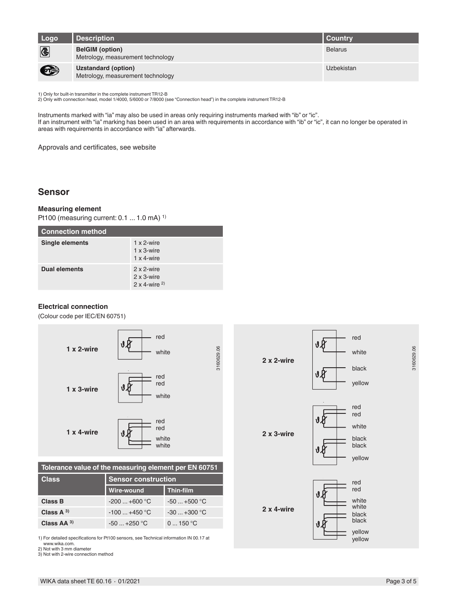| Logo      | Description                                                     | <b>Country</b>    |
|-----------|-----------------------------------------------------------------|-------------------|
| <b>C</b>  | <b>BelGIM</b> (option)<br>Metrology, measurement technology     | <b>Belarus</b>    |
| $\bullet$ | <b>Uzstandard (option)</b><br>Metrology, measurement technology | <b>Uzbekistan</b> |

1) Only for built-in transmitter in the complete instrument TR12-B 2) Only with connection head, model 1/4000, 5/6000 or 7/8000 (see "Connection head") in the complete instrument TR12-B

Instruments marked with "ia" may also be used in areas only requiring instruments marked with "ib" or "ic". If an instrument with "ia" marking has been used in an area with requirements in accordance with "ib" or "ic", it can no longer be operated in areas with requirements in accordance with "ia" afterwards.

Approvals and certificates, see website

### **Sensor**

#### **Measuring element**

Pt100 (measuring current: 0.1 ... 1.0 mA) 1)

| <b>Connection method</b> |                                                                |  |
|--------------------------|----------------------------------------------------------------|--|
| Single elements          | $1 \times 2$ -wire<br>$1 \times 3$ -wire<br>$1 \times 4$ -wire |  |
| <b>Dual elements</b>     | 2 x 2-wire<br>2 x 3-wire<br>$2 \times 4$ -wire <sup>2)</sup>   |  |

#### **Electrical connection**

(Colour code per IEC/EN 60751)



**Tolerance value of the measuring element per EN 60751**

| <b>Class</b>   | <b>Sensor construction</b> |                  |  |
|----------------|----------------------------|------------------|--|
|                | Wire-wound                 | <b>Thin-film</b> |  |
| Class B        | $-200+600$ °C              | $-50+500$ °C     |  |
| Class $A^{3}$  | $-100 - +450$ °C           | $-30+300$ °C     |  |
| Class $AA^{3}$ | $-50 - +250$ °C            | $0 = 150 °C$     |  |

1) For detailed specifications for Pt100 sensors, see Technical information IN 00.17 at www.wika.com.

2) Not with 3 mm diameter

3) Not with 2-wire connection method

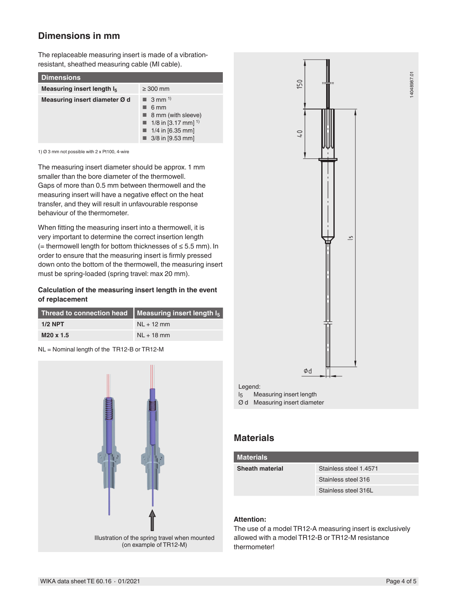### **Dimensions in mm**

The replaceable measuring insert is made of a vibrationresistant, sheathed measuring cable (MI cable).

| <b>Dimensions</b>                      |                                                                                                                                            |
|----------------------------------------|--------------------------------------------------------------------------------------------------------------------------------------------|
| Measuring insert length I <sub>5</sub> | $\geq 300$ mm                                                                                                                              |
| Measuring insert diameter Ø d          | $\blacksquare$ 3 mm <sup>1)</sup><br>6 mm<br>8 mm (with sleeve)<br>1/8 in [3.17 mm] <sup>1)</sup><br>1/4 in $[6.35$ mm<br>3/8 in [9.53 mm] |

1) Ø 3 mm not possible with 2 x Pt100, 4-wire

The measuring insert diameter should be approx. 1 mm smaller than the bore diameter of the thermowell. Gaps of more than 0.5 mm between thermowell and the measuring insert will have a negative effect on the heat transfer, and they will result in unfavourable response behaviour of the thermometer.

When fitting the measuring insert into a thermowell, it is very important to determine the correct insertion length (= thermowell length for bottom thicknesses of ≤ 5.5 mm). In order to ensure that the measuring insert is firmly pressed down onto the bottom of the thermowell, the measuring insert must be spring-loaded (spring travel: max 20 mm).

#### **Calculation of the measuring insert length in the event of replacement**

| Thread to connection head $\parallel$ Measuring insert length $I_5$ |              |
|---------------------------------------------------------------------|--------------|
| $1/2$ NPT                                                           | $NL + 12$ mm |
| M20 x 1.5                                                           | $NL + 18$ mm |

NL = Nominal length of the TR12-B or TR12-M





### **Materials**

| <b>Materials</b>       |                        |  |
|------------------------|------------------------|--|
| <b>Sheath material</b> | Stainless steel 1.4571 |  |
|                        | Stainless steel 316    |  |
|                        | Stainless steel 316L   |  |
|                        |                        |  |

### **Attention:**

The use of a model TR12-A measuring insert is exclusively allowed with a model TR12-B or TR12-M resistance thermometer!

14048987.01 14048987.01